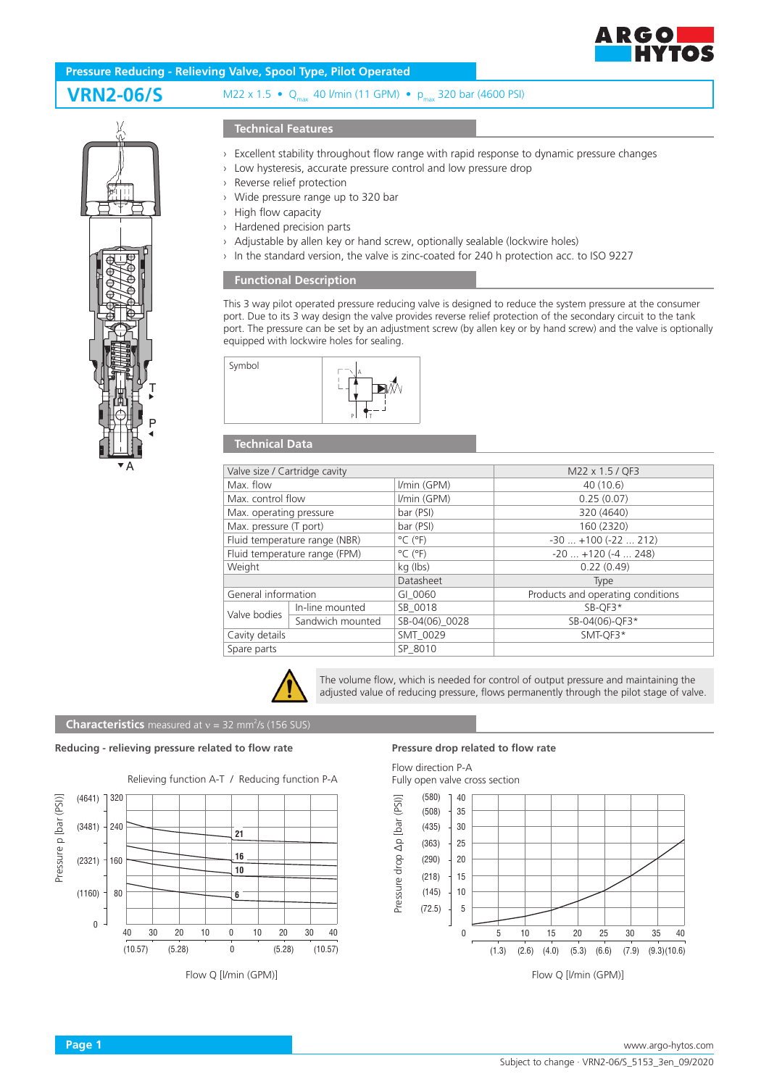

# P T

A

## **Technical Features**

- › Excellent stability throughout flow range with rapid response to dynamic pressure changes
- › Low hysteresis, accurate pressure control and low pressure drop
- › Reverse relief protection
- › Wide pressure range up to 320 bar
- › High flow capacity
- › Hardened precision parts
- › Adjustable by allen key or hand screw, optionally sealable (lockwire holes)
- › In the standard version, the valve is zinc-coated for 240 h protection acc. to ISO 9227

### **Functional Description**

This 3 way pilot operated pressure reducing valve is designed to reduce the system pressure at the consumer port. Due to its 3 way design the valve provides reverse relief protection of the secondary circuit to the tank port. The pressure can be set by an adjustment screw (by allen key or by hand screw) and the valve is optionally equipped with lockwire holes for sealing.



## **Technical Data**

| Valve size / Cartridge cavity |                  |                              | M22 x 1.5 / QF3                   |
|-------------------------------|------------------|------------------------------|-----------------------------------|
| Max. flow                     |                  | I/min (GPM)                  | 40 (10.6)                         |
| Max. control flow             |                  | I/min (GPM)                  | 0.25(0.07)                        |
| Max. operating pressure       |                  | bar (PSI)                    | 320 (4640)                        |
| Max. pressure (T port)        |                  | bar (PSI)                    | 160 (2320)                        |
| Fluid temperature range (NBR) |                  | $^{\circ}$ C ( $^{\circ}$ F) | $-30$ $+100$ ( $-22$ 212)         |
| Fluid temperature range (FPM) |                  | $^{\circ}$ C ( $^{\circ}$ F) | $-20$ $+120$ ( $-4$ 248)          |
| Weight                        |                  | kg (lbs)                     | 0.22(0.49)                        |
|                               |                  | Datasheet                    | <b>Type</b>                       |
| General information           |                  | GI 0060                      | Products and operating conditions |
| Valve bodies                  | In-line mounted  | SB 0018                      | SB-OF3*                           |
|                               | Sandwich mounted | SB-04(06) 0028               | SB-04(06)-QF3*                    |
| Cavity details                |                  | SMT 0029                     | SMT-OF3*                          |
| Spare parts                   |                  | SP 8010                      |                                   |
|                               |                  |                              |                                   |



The volume flow, which is needed for control of output pressure and maintaining the adjusted value of reducing pressure, flows permanently through the pilot stage of valve.

# **Characteristics** measured at  $v = 32$  mm<sup>2</sup>/s (156 SUS)

### **Reducing - relieving pressure related to flow rate Pressure drop related to flow rate**



Flow Q [l/min (GPM)]

Flow direction P-A Fully open valve cross section